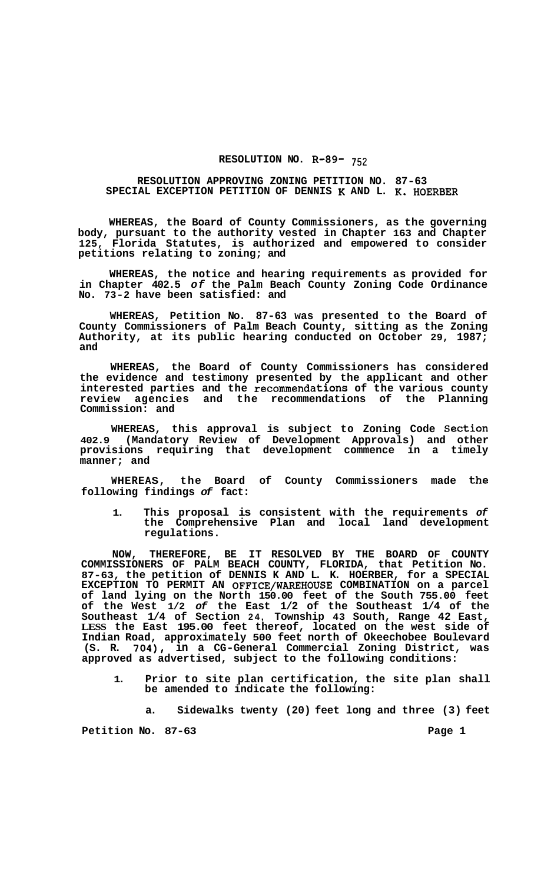## **RESOLUTION NO. R-89- 752**

## **RESOLUTION APPROVING ZONING PETITION NO. 87-63 SPECIAL EXCEPTION PETITION OF DENNIS K AND L. K. HOERBER**

**WHEREAS, the Board of County Commissioners, as the governing body, pursuant to the authority vested in Chapter 163 and Chapter 125, Florida Statutes, is authorized and empowered to consider petitions relating to zoning; and** 

**WHEREAS, the notice and hearing requirements as provided for in Chapter 402.5** *of* **the Palm Beach County Zoning Code Ordinance No. 73-2 have been satisfied: and** 

**WHEREAS, Petition No. 87-63 was presented to the Board of County Commissioners of Palm Beach County, sitting as the Zoning Authority, at its public hearing conducted on October 29, 1987; and** 

**WHEREAS, the Board of County Commissioners has considered the evidence and testimony presented by the applicant and other interested parties and the recommendations of the various county review agencies and the recommendations of the Planning Commission: and** 

**WHEREAS, this approval is subject to Zoning Code Section 402.9 (Mandatory Review of Development Approvals) and other provisions requiring that development commence in a timely manner; and** 

**WHEREAS, the Board of County Commissioners made the following findings** *of* **fact:** 

**1. This proposal is consistent with the requirements** *of*  **the Comprehensive Plan and local land development regulations.** 

**NOW, THEREFORE, BE IT RESOLVED BY THE BOARD OF COUNTY COMMISSIONERS OF PALM BEACH COUNTY, FLORIDA, that Petition No. 87-63, the petition of DENNIS K AND L. K. HOERBER, for a SPECIAL EXCEPTION TO PERMIT AN OFFICE/WAREHOUSE COMBINATION on a parcel of land lying on the North 150.00 feet of the South 755.00 feet of the West 1/2** *of* **the East 1/2 of the Southeast 1/4 of the Southeast 1/4 of Section 24, Township 43 South, Range 42 East, LESS the East 195.00 feet thereof, located on the west side of Indian Road, approximately 500 feet north of Okeechobee Boulevard (S. R. 704), in a CG-General Commercial Zoning District, was approved as advertised, subject to the following conditions:** 

**1. Prior to site plan certification, the site plan shall be amended to indicate the following:** 

**a. Sidewalks twenty (20) feet long and three (3) feet** 

Petition No. 87-63 **Page 1 Page 1**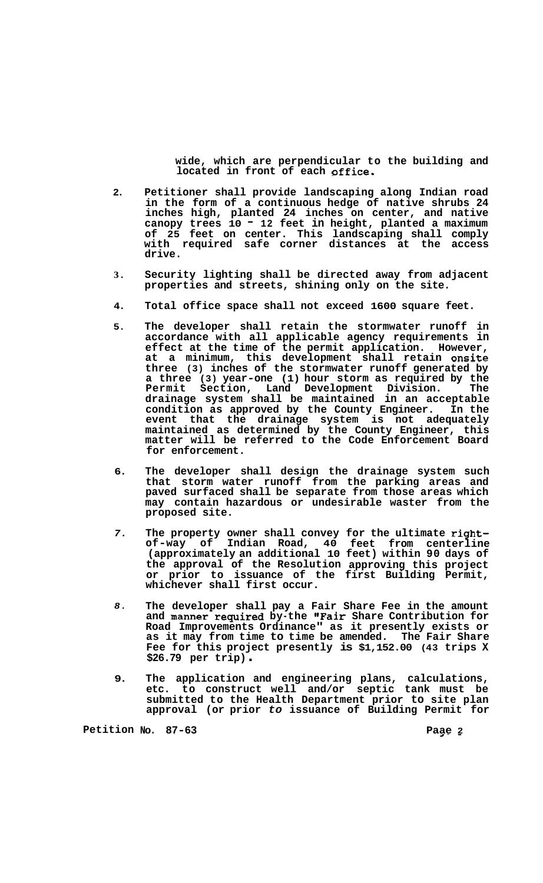**wide, which are perpendicular to the building and located in front of each office.** 

- **2. Petitioner shall provide landscaping along Indian road in the form of a continuous hedge of native shrubs 24 inches high, planted 24 inches on center, and native canopy trees 10** - **12 feet in height, planted a maximum of 25 feet on center. This landscaping shall comply with required safe corner distances at the access drive.**
- **3. Security lighting shall be directed away from adjacent properties and streets, shining only on the site.**
- **4. Total office space shall not exceed 1600 square feet.**
- **5. The developer shall retain the stormwater runoff in accordance with all applicable agency requirements in effect at the time of the permit application. However, at a minimum, this development shall retain onsite three (3) inches of the stormwater runoff generated by a three (3) year-one (1) hour storm as required by the Permit Section, Land Development Division. The drainage system shall be maintained in an acceptable condition as approved by the County Engineer. In the event that the drainage system is not adequately maintained as determined by the County Engineer, this matter will be referred to the Code Enforcement Board for enforcement.**
- **6. The developer shall design the drainage system such that storm water runoff from the parking areas and paved surfaced shall be separate from those areas which may contain hazardous or undesirable waster from the proposed site.**
- *7.*  **The property owner shall convey of-way of Indian Road, 40 (approximately an additional 10 feet) within 90 days of the approval of the Resolution or prior to issuance of the whichever shall first occur. for the ultimate rightfeet from centerline approving this project first Building Permit,**
- *8.*  **The developer shall pay a Fair Share Fee in the amount and manner-required by-the "Fair Share Contribution for Road Improvements Ordinance" as it presently exists or as it may from time to time be amended. The Fair Share Fee for this project presently is \$1,152.00 (43 trips X \$26.79 per trip)** .
- **9. The application and engineering plans, calculations, etc. to construct well and/or septic tank must be submitted to the Health Department prior to site plan approval (or prior** *to* **issuance of Building Permit for**

**Petition No. 87-63 Page 2**